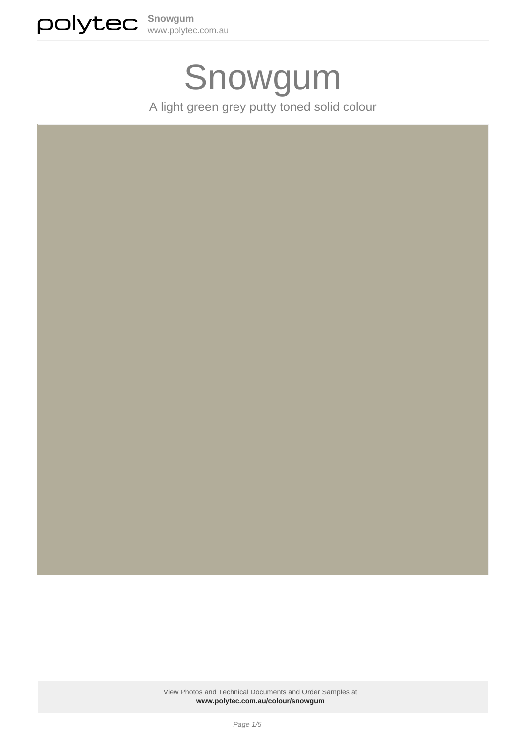

# Snowgum

A light green grey putty toned solid colour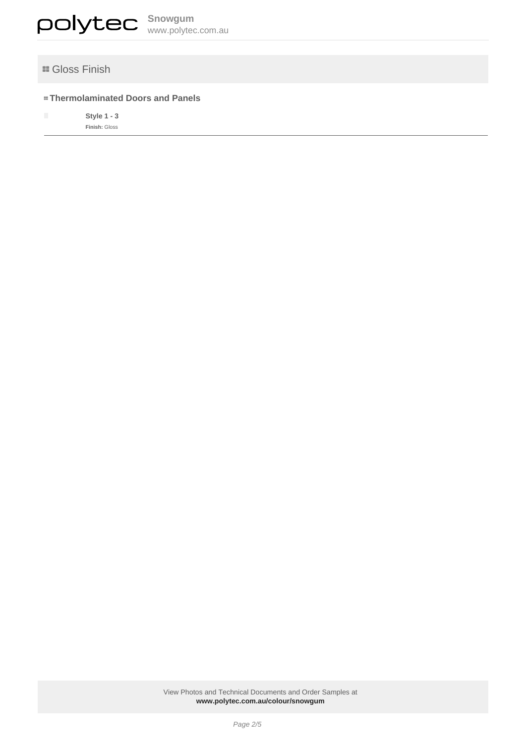

## **E** Gloss Finish

## **Thermolaminated Doors and Panels**

■ Style 1 - 3 **Finish:** Gloss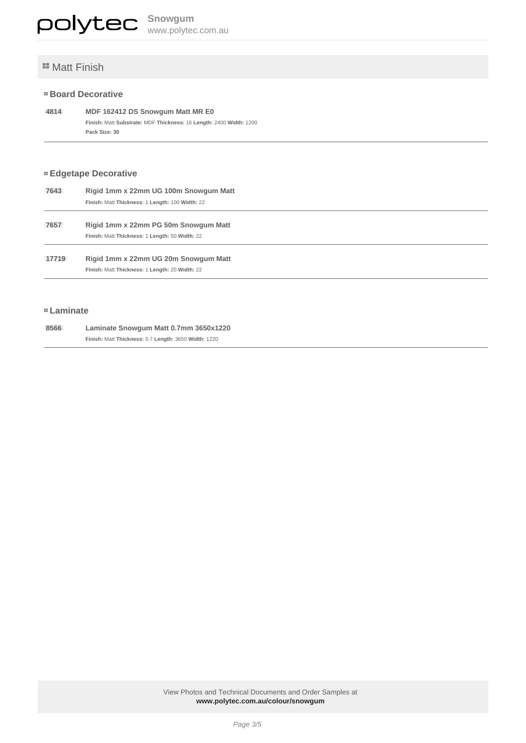# **E** Matt Finish

#### **Board Decorative**

 **4814 MDF 162412 DS Snowgum Matt MR E0 Finish:** Matt **Substrate:** MDF **Thickness:** 16 **Length:** 2400 **Width:** 1200 **Pack Size: 30**

## **Edgetape Decorative**

| 7643  | Rigid 1mm x 22mm UG 100m Snowgum Matt           |  |
|-------|-------------------------------------------------|--|
|       | Finish: Matt Thickness: 1 Length: 100 Width: 22 |  |
| 7657  | Rigid 1mm x 22mm PG 50m Snowgum Matt            |  |
|       | Finish: Matt Thickness: 1 Length: 50 Width: 22  |  |
| 17719 | Rigid 1mm x 22mm UG 20m Snowgum Matt            |  |
|       | Finish: Matt Thickness: 1 Length: 20 Width: 22  |  |
|       |                                                 |  |

#### **Laminate**

| 8566 | Laminate Snowqum Matt 0.7mm 3650x1220                |
|------|------------------------------------------------------|
|      | Finish: Matt Thickness: 0.7 Length: 3650 Width: 1220 |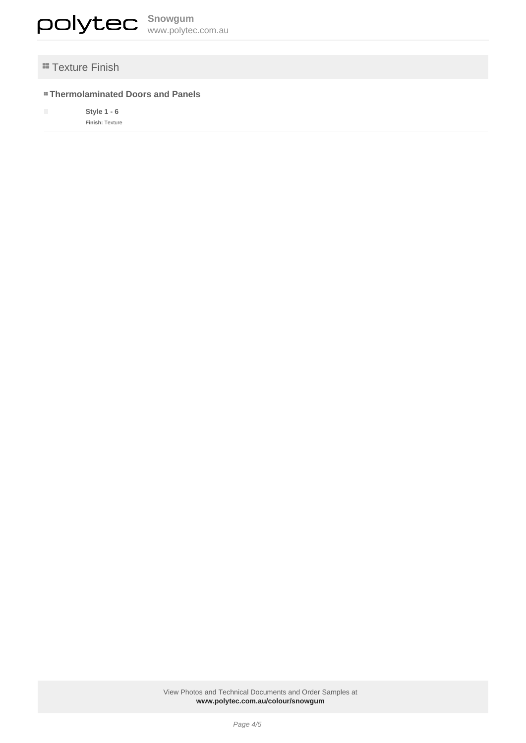

# **"Texture Finish**

## **Thermolaminated Doors and Panels**

■ **Style 1 - 6 Finish:** Texture